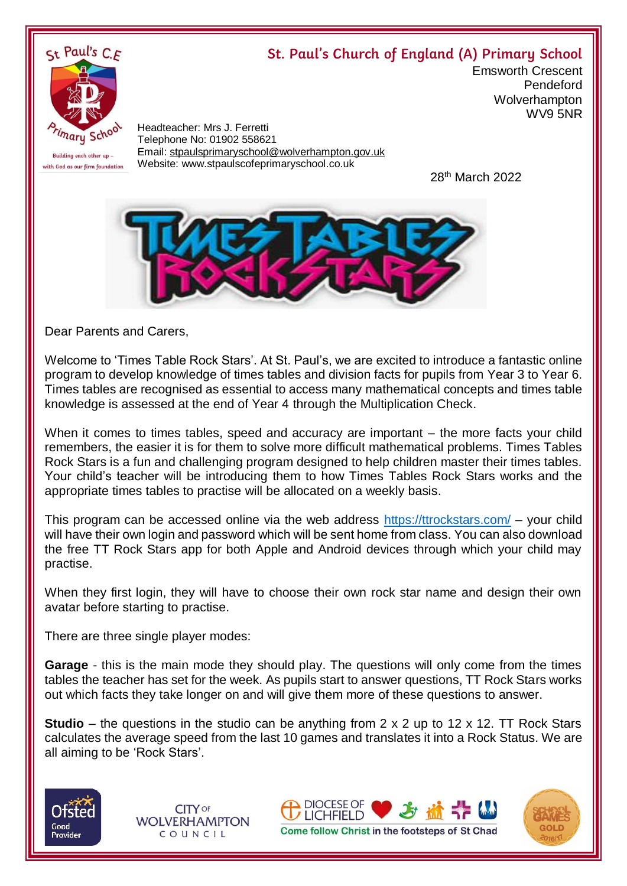## **St. Paul's Church of England (A) Primary School**



Headteacher: Mrs J. Ferretti Telephone No: 01902 558621 Email: [stpaulsprimaryschool@wolverhampton.gov.uk](mailto:stpaulsprimaryschool@wolverhampton.gov.uk) Website: www.stpaulscofeprimaryschool.co.uk

<u>28 and 28 and 28 and 28 and 28 and 28 and 28 and 28 and 28 and 28 and 28 and 28 and 28 and 28 and 28 and 28 a</u> 28<sup>th</sup> March 2022

Emsworth Crescent

Pendeford **Wolverhampton** 

WV9 5NR



Dear Parents and Carers,

Welcome to 'Times Table Rock Stars'. At St. Paul's, we are excited to introduce a fantastic online program to develop knowledge of times tables and division facts for pupils from Year 3 to Year 6. Times tables are recognised as essential to access many mathematical concepts and times table knowledge is assessed at the end of Year 4 through the Multiplication Check.

When it comes to times tables, speed and accuracy are important – the more facts your child remembers, the easier it is for them to solve more difficult mathematical problems. Times Tables Rock Stars is a fun and challenging program designed to help children master their times tables. Your child's teacher will be introducing them to how Times Tables Rock Stars works and the appropriate times tables to practise will be allocated on a weekly basis.

This program can be accessed online via the web address<https://ttrockstars.com/> – your child will have their own login and password which will be sent home from class. You can also download the free TT Rock Stars app for both Apple and Android devices through which your child may practise.

When they first login, they will have to choose their own rock star name and design their own avatar before starting to practise.

There are three single player modes:

**Garage** - this is the main mode they should play. The questions will only come from the times tables the teacher has set for the week. As pupils start to answer questions, TT Rock Stars works out which facts they take longer on and will give them more of these questions to answer.

**Studio** – the questions in the studio can be anything from 2 x 2 up to 12 x 12. TT Rock Stars calculates the average speed from the last 10 games and translates it into a Rock Status. We are all aiming to be 'Rock Stars'.



**CITY OF WOLVERHAMPTON** COUNCIL